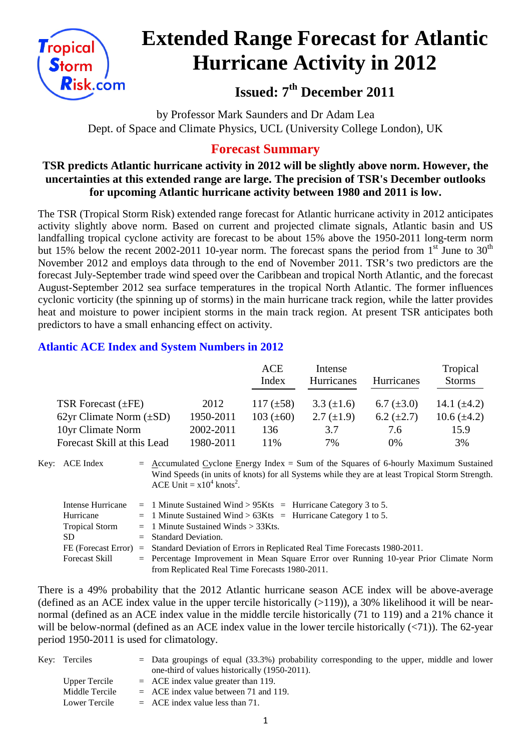

# **Extended Range Forecast for Atlantic Hurricane Activity in 2012**

**Issued: 7th December 2011**

by Professor Mark Saunders and Dr Adam Lea Dept. of Space and Climate Physics, UCL (University College London), UK

# **Forecast Summary**

## **TSR predicts Atlantic hurricane activity in 2012 will be slightly above norm. However, the uncertainties at this extended range are large. The precision of TSR's December outlooks for upcoming Atlantic hurricane activity between 1980 and 2011 is low.**

The TSR (Tropical Storm Risk) extended range forecast for Atlantic hurricane activity in 2012 anticipates activity slightly above norm. Based on current and projected climate signals, Atlantic basin and US landfalling tropical cyclone activity are forecast to be about 15% above the 1950-2011 long-term norm but 15% below the recent 2002-2011 10-year norm. The forecast spans the period from  $1<sup>st</sup>$  June to 30<sup>th</sup> November 2012 and employs data through to the end of November 2011. TSR's two predictors are the forecast July-September trade wind speed over the Caribbean and tropical North Atlantic, and the forecast August-September 2012 sea surface temperatures in the tropical North Atlantic. The former influences cyclonic vorticity (the spinning up of storms) in the main hurricane track region, while the latter provides heat and moisture to power incipient storms in the main track region. At present TSR anticipates both predictors to have a small enhancing effect on activity.

## **Atlantic ACE Index and System Numbers in 2012**

|                              |           | ACE            | Intense           |                   | Tropical         |
|------------------------------|-----------|----------------|-------------------|-------------------|------------------|
|                              |           | Index          | Hurricanes        | <b>Hurricanes</b> | <b>Storms</b>    |
|                              |           |                |                   |                   |                  |
| TSR Forecast $(\pm FE)$      | 2012      | 117 $(\pm 58)$ | $3.3 \ (\pm 1.6)$ | 6.7 $(\pm 3.0)$   | 14.1 $(\pm 4.2)$ |
| 62yr Climate Norm $(\pm SD)$ | 1950-2011 | 103 $(\pm 60)$ | $2.7 \ (\pm 1.9)$ | $6.2 \ (\pm 2.7)$ | 10.6 $(\pm 4.2)$ |
| 10yr Climate Norm            | 2002-2011 | 136            | 3.7               | 7.6               | 15.9             |
| Forecast Skill at this Lead  | 1980-2011 | 11%            | 7%                | $0\%$             | 3%               |

Key: ACE Index  $=$  Accumulated Cyclone Energy Index = Sum of the Squares of 6-hourly Maximum Sustained Wind Speeds (in units of knots) for all Systems while they are at least Tropical Storm Strength. ACE Unit =  $x10^4$  knots<sup>2</sup>.

| Intense Hurricane     | $=$ 1 Minute Sustained Wind > 95Kts $=$ Hurricane Category 3 to 5.                      |
|-----------------------|-----------------------------------------------------------------------------------------|
| Hurricane             | $=$ 1 Minute Sustained Wind > 63Kts = Hurricane Category 1 to 5.                        |
| <b>Tropical Storm</b> | $=$ 1 Minute Sustained Winds $>$ 33Kts.                                                 |
| SD.                   | $=$ Standard Deviation.                                                                 |
| FE (Forecast Error)   | $\epsilon$ Standard Deviation of Errors in Replicated Real Time Forecasts 1980-2011.    |
| Forecast Skill        | $=$ Percentage Improvement in Mean Square Error over Running 10-year Prior Climate Norm |
|                       | from Replicated Real Time Forecasts 1980-2011.                                          |

There is a 49% probability that the 2012 Atlantic hurricane season ACE index will be above-average (defined as an ACE index value in the upper tercile historically  $(>119)$ ), a 30% likelihood it will be nearnormal (defined as an ACE index value in the middle tercile historically (71 to 119) and a 21% chance it will be below-normal (defined as an ACE index value in the lower tercile historically  $(\langle 71 \rangle)$ ). The 62-year period 1950-2011 is used for climatology.

| Key: Terciles  | $=$ Data groupings of equal (33.3%) probability corresponding to the upper, middle and lower |
|----------------|----------------------------------------------------------------------------------------------|
|                | one-third of values historically (1950-2011).                                                |
| Upper Tercile  | $=$ ACE index value greater than 119.                                                        |
| Middle Tercile | $=$ ACE index value between 71 and 119.                                                      |
| Lower Tercile  | $=$ ACE index value less than 71.                                                            |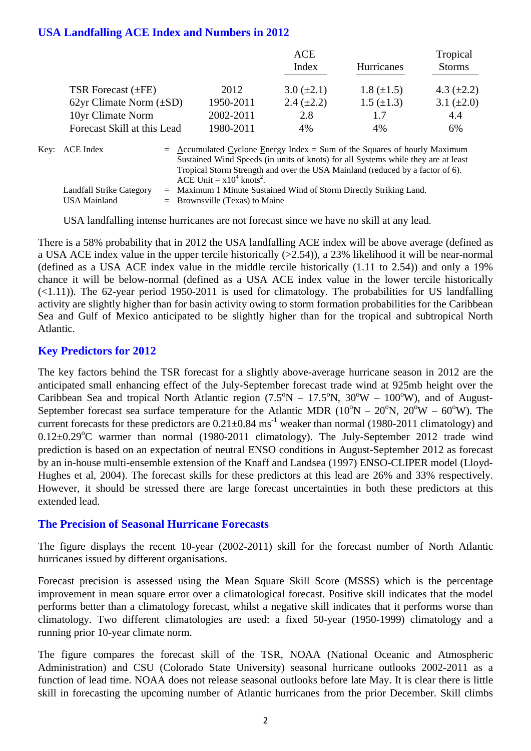#### **USA Landfalling ACE Index and Numbers in 2012**

|                              |           | ACE             |                   | Tropical        |  |
|------------------------------|-----------|-----------------|-------------------|-----------------|--|
|                              |           | Index           | Hurricanes        | <b>Storms</b>   |  |
| TSR Forecast $(\pm FE)$      | 2012      | $3.0 (\pm 2.1)$ | $1.8 (\pm 1.5)$   | 4.3 $(\pm 2.2)$ |  |
| 62yr Climate Norm $(\pm SD)$ | 1950-2011 | 2.4 $(\pm 2.2)$ | $1.5 \ (\pm 1.3)$ | 3.1 $(\pm 2.0)$ |  |
| 10yr Climate Norm            | 2002-2011 | 2.8             | 1.7               | 4.4             |  |
| Forecast Skill at this Lead  | 1980-2011 | 4%              | 4%                | 6%              |  |
|                              |           |                 |                   |                 |  |

| Key: ACE Index           | $=$ Accumulated Cyclone Energy Index $=$ Sum of the Squares of hourly Maximum     |
|--------------------------|-----------------------------------------------------------------------------------|
|                          | Sustained Wind Speeds (in units of knots) for all Systems while they are at least |
|                          | Tropical Storm Strength and over the USA Mainland (reduced by a factor of 6).     |
|                          | ACE Unit = $x10^4$ knots <sup>2</sup> .                                           |
| Landfall Strike Category | $=$ Maximum 1 Minute Sustained Wind of Storm Directly Striking Land.              |
| USA Mainland             | $=$ Brownsville (Texas) to Maine                                                  |

USA landfalling intense hurricanes are not forecast since we have no skill at any lead.

There is a 58% probability that in 2012 the USA landfalling ACE index will be above average (defined as a USA ACE index value in the upper tercile historically (>2.54)), a 23% likelihood it will be near-normal (defined as a USA ACE index value in the middle tercile historically (1.11 to 2.54)) and only a 19% chance it will be below-normal (defined as a USA ACE index value in the lower tercile historically  $(\le 1.11)$ ). The 62-year period 1950-2011 is used for climatology. The probabilities for US landfalling activity are slightly higher than for basin activity owing to storm formation probabilities for the Caribbean Sea and Gulf of Mexico anticipated to be slightly higher than for the tropical and subtropical North Atlantic.

#### **Key Predictors for 2012**

The key factors behind the TSR forecast for a slightly above-average hurricane season in 2012 are the anticipated small enhancing effect of the July-September forecast trade wind at 925mb height over the Caribbean Sea and tropical North Atlantic region  $(7.5^{\circ}N - 17.5^{\circ}N, 30^{\circ}W - 100^{\circ}W)$ , and of August-September forecast sea surface temperature for the Atlantic MDR  $(10^{\circ}N - 20^{\circ}N, 20^{\circ}W - 60^{\circ}W)$ . The current forecasts for these predictors are  $0.21 \pm 0.84$  ms<sup>-1</sup> weaker than normal (1980-2011 climatology) and  $0.12\pm0.29^{\circ}$ C warmer than normal (1980-2011 climatology). The July-September 2012 trade wind prediction is based on an expectation of neutral ENSO conditions in August-September 2012 as forecast by an in-house multi-ensemble extension of the Knaff and Landsea (1997) ENSO-CLIPER model (Lloyd-Hughes et al, 2004). The forecast skills for these predictors at this lead are 26% and 33% respectively. However, it should be stressed there are large forecast uncertainties in both these predictors at this extended lead.

#### **The Precision of Seasonal Hurricane Forecasts**

The figure displays the recent 10-year (2002-2011) skill for the forecast number of North Atlantic hurricanes issued by different organisations.

Forecast precision is assessed using the Mean Square Skill Score (MSSS) which is the percentage improvement in mean square error over a climatological forecast. Positive skill indicates that the model performs better than a climatology forecast, whilst a negative skill indicates that it performs worse than climatology. Two different climatologies are used: a fixed 50-year (1950-1999) climatology and a running prior 10-year climate norm.

The figure compares the forecast skill of the TSR, NOAA (National Oceanic and Atmospheric Administration) and CSU (Colorado State University) seasonal hurricane outlooks 2002-2011 as a function of lead time. NOAA does not release seasonal outlooks before late May. It is clear there is little skill in forecasting the upcoming number of Atlantic hurricanes from the prior December. Skill climbs